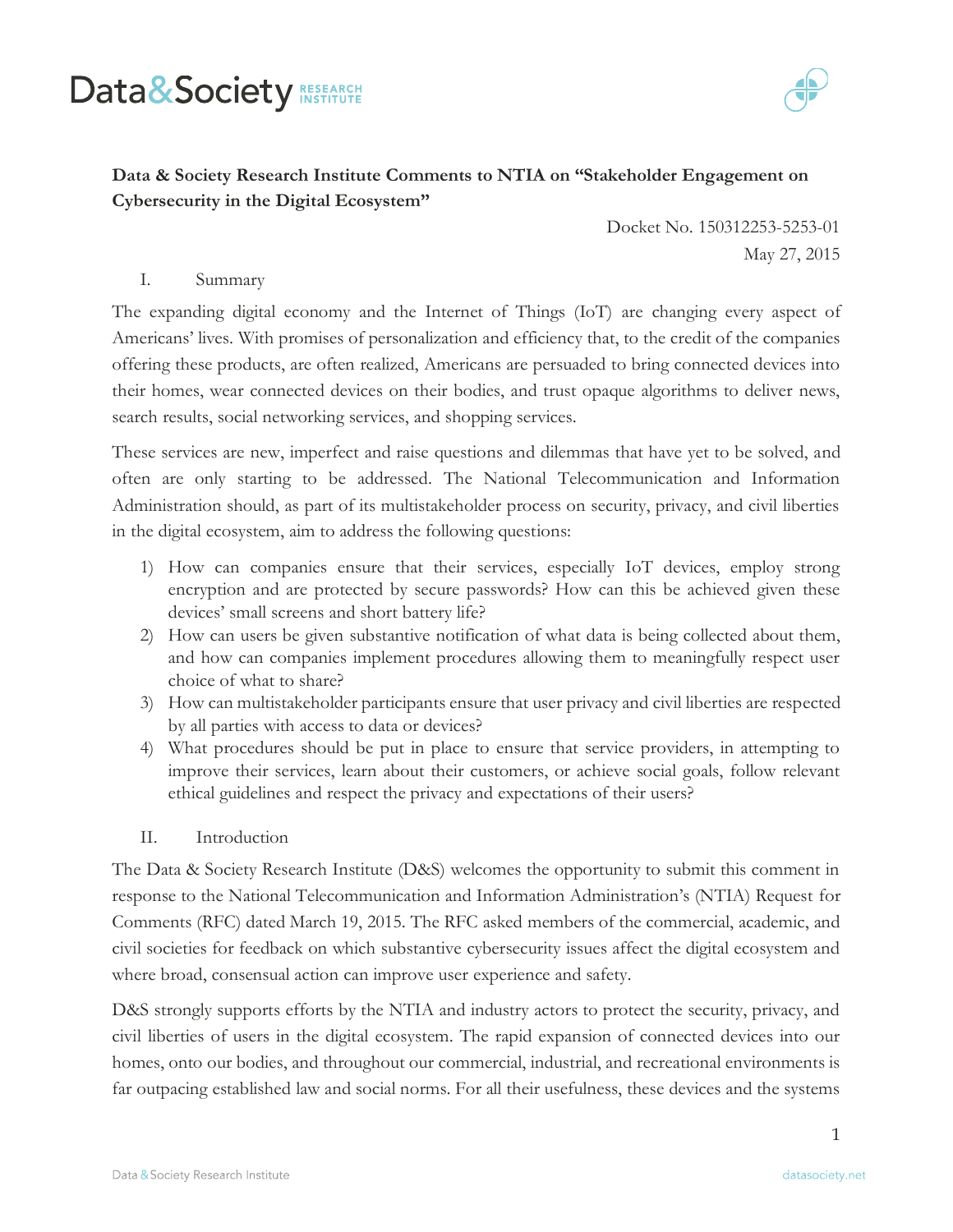# Data&Society RESEARCH



# **Data & Society Research Institute Comments to NTIA on "Stakeholder Engagement on Cybersecurity in the Digital Ecosystem"**

Docket No. 150312253-5253-01 May 27, 2015

## I. Summary

The expanding digital economy and the Internet of Things (IoT) are changing every aspect of Americans' lives. With promises of personalization and efficiency that, to the credit of the companies offering these products, are often realized, Americans are persuaded to bring connected devices into their homes, wear connected devices on their bodies, and trust opaque algorithms to deliver news, search results, social networking services, and shopping services.

These services are new, imperfect and raise questions and dilemmas that have yet to be solved, and often are only starting to be addressed. The National Telecommunication and Information Administration should, as part of its multistakeholder process on security, privacy, and civil liberties in the digital ecosystem, aim to address the following questions:

- 1) How can companies ensure that their services, especially IoT devices, employ strong encryption and are protected by secure passwords? How can this be achieved given these devices' small screens and short battery life?
- 2) How can users be given substantive notification of what data is being collected about them, and how can companies implement procedures allowing them to meaningfully respect user choice of what to share?
- 3) How can multistakeholder participants ensure that user privacy and civil liberties are respected by all parties with access to data or devices?
- 4) What procedures should be put in place to ensure that service providers, in attempting to improve their services, learn about their customers, or achieve social goals, follow relevant ethical guidelines and respect the privacy and expectations of their users?

#### II. Introduction

The Data & Society Research Institute (D&S) welcomes the opportunity to submit this comment in response to the National Telecommunication and Information Administration's (NTIA) Request for Comments (RFC) dated March 19, 2015. The RFC asked members of the commercial, academic, and civil societies for feedback on which substantive cybersecurity issues affect the digital ecosystem and where broad, consensual action can improve user experience and safety.

D&S strongly supports efforts by the NTIA and industry actors to protect the security, privacy, and civil liberties of users in the digital ecosystem. The rapid expansion of connected devices into our homes, onto our bodies, and throughout our commercial, industrial, and recreational environments is far outpacing established law and social norms. For all their usefulness, these devices and the systems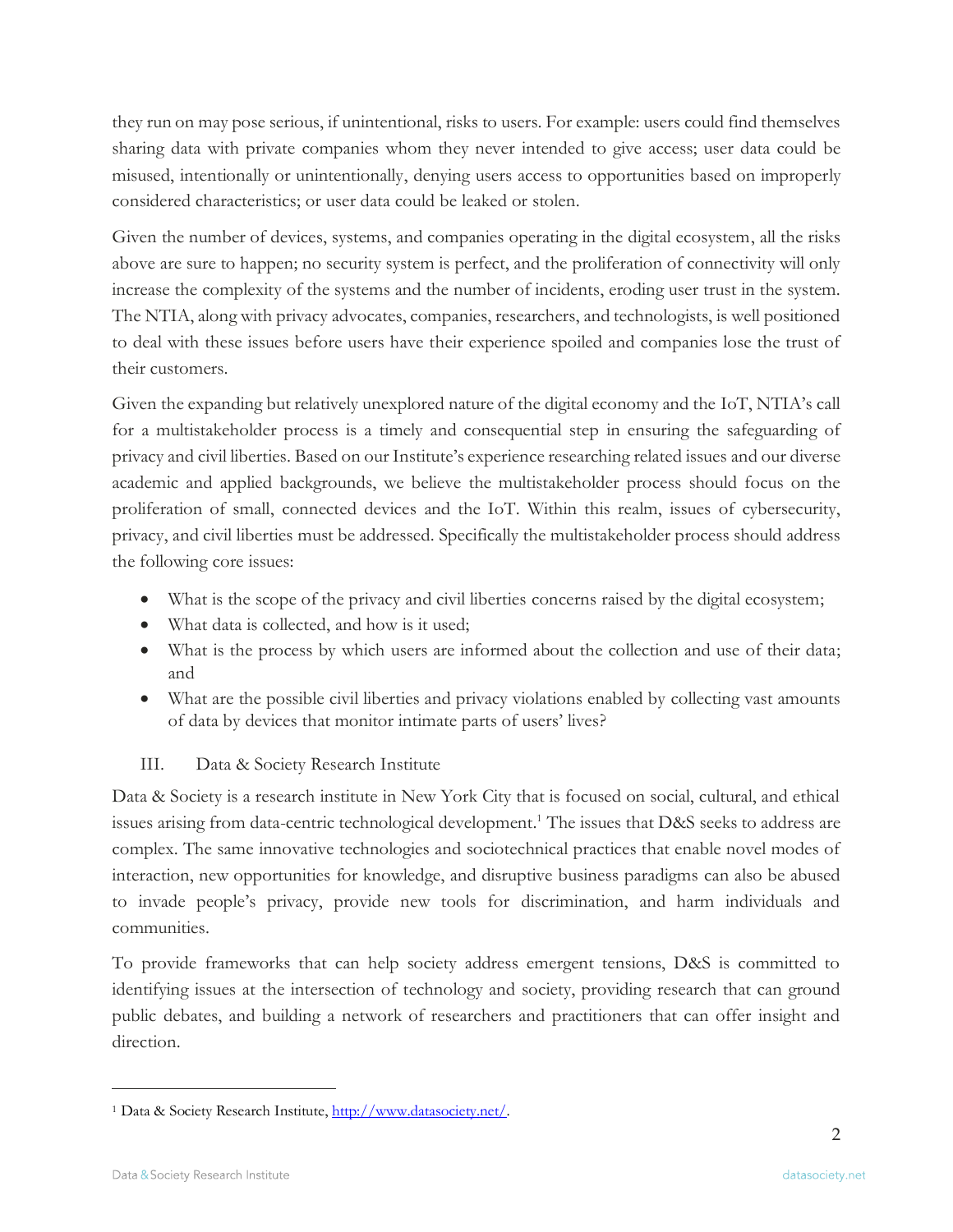they run on may pose serious, if unintentional, risks to users. For example: users could find themselves sharing data with private companies whom they never intended to give access; user data could be misused, intentionally or unintentionally, denying users access to opportunities based on improperly considered characteristics; or user data could be leaked or stolen.

Given the number of devices, systems, and companies operating in the digital ecosystem, all the risks above are sure to happen; no security system is perfect, and the proliferation of connectivity will only increase the complexity of the systems and the number of incidents, eroding user trust in the system. The NTIA, along with privacy advocates, companies, researchers, and technologists, is well positioned to deal with these issues before users have their experience spoiled and companies lose the trust of their customers.

Given the expanding but relatively unexplored nature of the digital economy and the IoT, NTIA's call for a multistakeholder process is a timely and consequential step in ensuring the safeguarding of privacy and civil liberties. Based on our Institute's experience researching related issues and our diverse academic and applied backgrounds, we believe the multistakeholder process should focus on the proliferation of small, connected devices and the IoT. Within this realm, issues of cybersecurity, privacy, and civil liberties must be addressed. Specifically the multistakeholder process should address the following core issues:

- What is the scope of the privacy and civil liberties concerns raised by the digital ecosystem;
- What data is collected, and how is it used;
- What is the process by which users are informed about the collection and use of their data; and
- What are the possible civil liberties and privacy violations enabled by collecting vast amounts of data by devices that monitor intimate parts of users' lives?

# III. Data & Society Research Institute

Data & Society is a research institute in New York City that is focused on social, cultural, and ethical issues arising from data-centric technological development.<sup>1</sup> The issues that D&S seeks to address are complex. The same innovative technologies and sociotechnical practices that enable novel modes of interaction, new opportunities for knowledge, and disruptive business paradigms can also be abused to invade people's privacy, provide new tools for discrimination, and harm individuals and communities.

To provide frameworks that can help society address emergent tensions, D&S is committed to identifying issues at the intersection of technology and society, providing research that can ground public debates, and building a network of researchers and practitioners that can offer insight and direction.

<sup>1</sup> Data & Society Research Institute, [http://www.datasociety.net/.](http://www.datasociety.net/)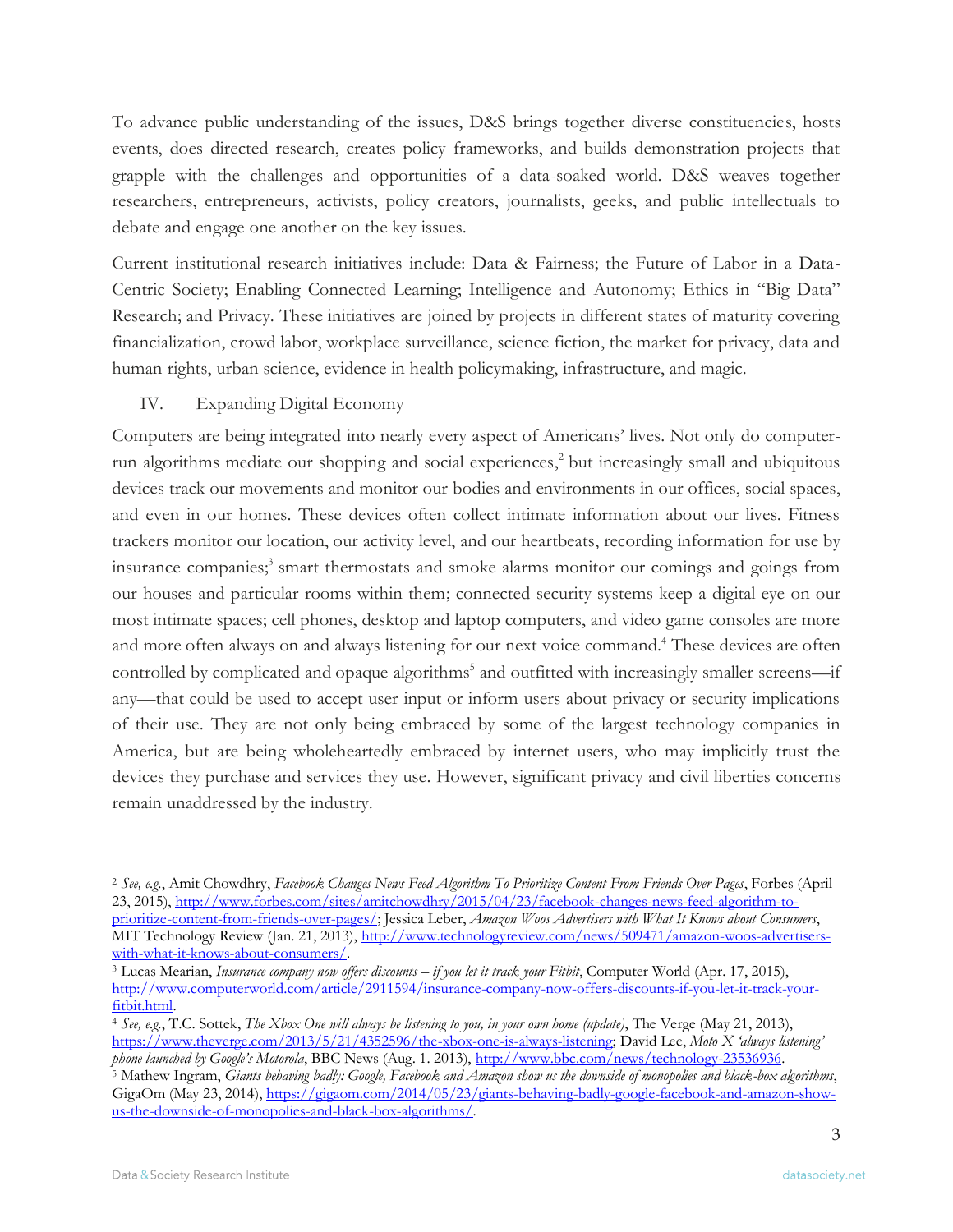To advance public understanding of the issues, D&S brings together diverse constituencies, hosts events, does directed research, creates policy frameworks, and builds demonstration projects that grapple with the challenges and opportunities of a data-soaked world. D&S weaves together researchers, entrepreneurs, activists, policy creators, journalists, geeks, and public intellectuals to debate and engage one another on the key issues.

Current institutional research initiatives include: Data & Fairness; the Future of Labor in a Data-Centric Society; Enabling Connected Learning; Intelligence and Autonomy; Ethics in "Big Data" Research; and Privacy. These initiatives are joined by projects in different states of maturity covering financialization, crowd labor, workplace surveillance, science fiction, the market for privacy, data and human rights, urban science, evidence in health policymaking, infrastructure, and magic.

### IV. Expanding Digital Economy

Computers are being integrated into nearly every aspect of Americans' lives. Not only do computerrun algorithms mediate our shopping and social experiences, <sup>2</sup> but increasingly small and ubiquitous devices track our movements and monitor our bodies and environments in our offices, social spaces, and even in our homes. These devices often collect intimate information about our lives. Fitness trackers monitor our location, our activity level, and our heartbeats, recording information for use by insurance companies; 3 smart thermostats and smoke alarms monitor our comings and goings from our houses and particular rooms within them; connected security systems keep a digital eye on our most intimate spaces; cell phones, desktop and laptop computers, and video game consoles are more and more often always on and always listening for our next voice command.<sup>4</sup> These devices are often controlled by complicated and opaque algorithms<sup>5</sup> and outfitted with increasingly smaller screens-if any—that could be used to accept user input or inform users about privacy or security implications of their use. They are not only being embraced by some of the largest technology companies in America, but are being wholeheartedly embraced by internet users, who may implicitly trust the devices they purchase and services they use. However, significant privacy and civil liberties concerns remain unaddressed by the industry.

<sup>2</sup> *See, e.g.*, Amit Chowdhry, *Facebook Changes News Feed Algorithm To Prioritize Content From Friends Over Pages*, Forbes (April 23, 2015)[, http://www.forbes.com/sites/amitchowdhry/2015/04/23/facebook-changes-news-feed-algorithm-to](http://www.forbes.com/sites/amitchowdhry/2015/04/23/facebook-changes-news-feed-algorithm-to-prioritize-content-from-friends-over-pages/)[prioritize-content-from-friends-over-pages/;](http://www.forbes.com/sites/amitchowdhry/2015/04/23/facebook-changes-news-feed-algorithm-to-prioritize-content-from-friends-over-pages/) Jessica Leber, *Amazon Woos Advertisers with What It Knows about Consumers*, MIT Technology Review (Jan. 21, 2013), [http://www.technologyreview.com/news/509471/amazon-woos-advertisers](http://www.technologyreview.com/news/509471/amazon-woos-advertisers-with-what-it-knows-about-consumers/)[with-what-it-knows-about-consumers/.](http://www.technologyreview.com/news/509471/amazon-woos-advertisers-with-what-it-knows-about-consumers/) 

<sup>3</sup> Lucas Mearian, *Insurance company now offers discounts – if you let it track your Fitbit*, Computer World (Apr. 17, 2015), [http://www.computerworld.com/article/2911594/insurance-company-now-offers-discounts-if-you-let-it-track-your](http://www.computerworld.com/article/2911594/insurance-company-now-offers-discounts-if-you-let-it-track-your-fitbit.html)[fitbit.html.](http://www.computerworld.com/article/2911594/insurance-company-now-offers-discounts-if-you-let-it-track-your-fitbit.html)

<sup>4</sup> *See, e.g.*, T.C. Sottek, *The Xbox One will always be listening to you, in your own home (update)*, The Verge (May 21, 2013), [https://www.theverge.com/2013/5/21/4352596/the-xbox-one-is-always-listening;](https://www.theverge.com/2013/5/21/4352596/the-xbox-one-is-always-listening) David Lee, *Moto X 'always listening' phone launched by Google's Motorola*, BBC News (Aug. 1. 2013), [http://www.bbc.com/news/technology-23536936.](http://www.bbc.com/news/technology-23536936)

<sup>5</sup> Mathew Ingram, *Giants behaving badly: Google, Facebook and Amazon show us the downside of monopolies and black-box algorithms*, GigaOm (May 23, 2014), [https://gigaom.com/2014/05/23/giants-behaving-badly-google-facebook-and-amazon-show](https://gigaom.com/2014/05/23/giants-behaving-badly-google-facebook-and-amazon-show-us-the-downside-of-monopolies-and-black-box-algorithms/)[us-the-downside-of-monopolies-and-black-box-algorithms/.](https://gigaom.com/2014/05/23/giants-behaving-badly-google-facebook-and-amazon-show-us-the-downside-of-monopolies-and-black-box-algorithms/)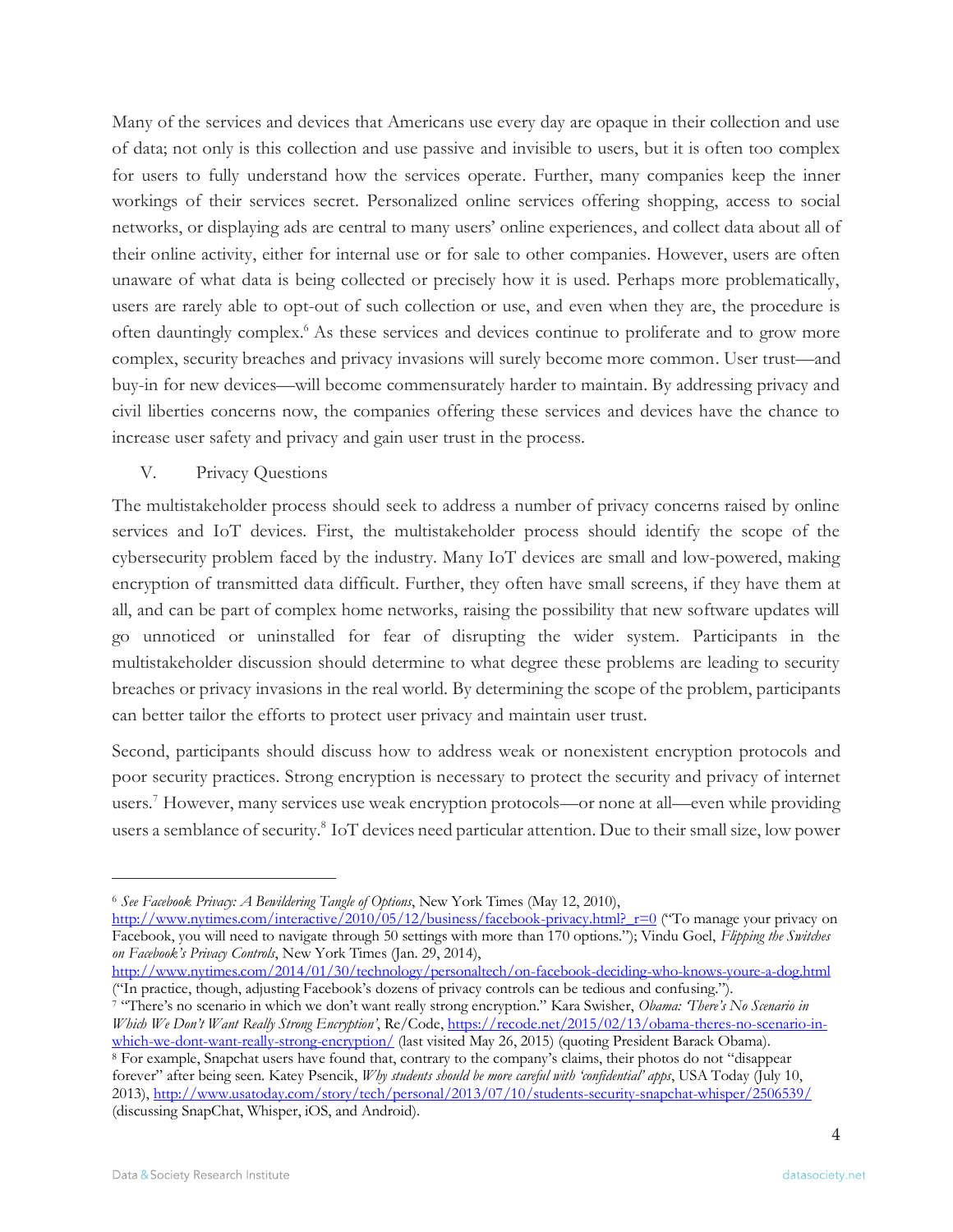Many of the services and devices that Americans use every day are opaque in their collection and use of data; not only is this collection and use passive and invisible to users, but it is often too complex for users to fully understand how the services operate. Further, many companies keep the inner workings of their services secret. Personalized online services offering shopping, access to social networks, or displaying ads are central to many users' online experiences, and collect data about all of their online activity, either for internal use or for sale to other companies. However, users are often unaware of what data is being collected or precisely how it is used. Perhaps more problematically, users are rarely able to opt-out of such collection or use, and even when they are, the procedure is often dauntingly complex.<sup>6</sup> As these services and devices continue to proliferate and to grow more complex, security breaches and privacy invasions will surely become more common. User trust—and buy-in for new devices—will become commensurately harder to maintain. By addressing privacy and civil liberties concerns now, the companies offering these services and devices have the chance to increase user safety and privacy and gain user trust in the process.

### V. Privacy Questions

The multistakeholder process should seek to address a number of privacy concerns raised by online services and IoT devices. First, the multistakeholder process should identify the scope of the cybersecurity problem faced by the industry. Many IoT devices are small and low-powered, making encryption of transmitted data difficult. Further, they often have small screens, if they have them at all, and can be part of complex home networks, raising the possibility that new software updates will go unnoticed or uninstalled for fear of disrupting the wider system. Participants in the multistakeholder discussion should determine to what degree these problems are leading to security breaches or privacy invasions in the real world. By determining the scope of the problem, participants can better tailor the efforts to protect user privacy and maintain user trust.

Second, participants should discuss how to address weak or nonexistent encryption protocols and poor security practices. Strong encryption is necessary to protect the security and privacy of internet users.<sup>7</sup> However, many services use weak encryption protocols—or none at all—even while providing users a semblance of security.<sup>8</sup> IoT devices need particular attention. Due to their small size, low power

[http://www.nytimes.com/interactive/2010/05/12/business/facebook-privacy.html?\\_r=0](http://www.nytimes.com/interactive/2010/05/12/business/facebook-privacy.html?_r=0) ("To manage your privacy on Facebook, you will need to navigate through 50 settings with more than 170 options."); Vindu Goel, *Flipping the Switches on Facebook's Privacy Controls*, New York Times (Jan. 29, 2014),

<sup>6</sup> *See Facebook Privacy: A Bewildering Tangle of Options*, New York Times (May 12, 2010),

<http://www.nytimes.com/2014/01/30/technology/personaltech/on-facebook-deciding-who-knows-youre-a-dog.html> ("In practice, though, adjusting Facebook's dozens of privacy controls can be tedious and confusing.").

<sup>7</sup> "There's no scenario in which we don't want really strong encryption." Kara Swisher, *Obama: 'There's No Scenario in Which We Don't Want Really Strong Encryption'*, Re/Code[, https://recode.net/2015/02/13/obama-theres-no-scenario-in](https://recode.net/2015/02/13/obama-theres-no-scenario-in-which-we-dont-want-really-strong-encryption/)[which-we-dont-want-really-strong-encryption/](https://recode.net/2015/02/13/obama-theres-no-scenario-in-which-we-dont-want-really-strong-encryption/) (last visited May 26, 2015) (quoting President Barack Obama).

<sup>8</sup> For example, Snapchat users have found that, contrary to the company's claims, their photos do not "disappear forever" after being seen. Katey Psencik, *Why students should be more careful with 'confidential' apps*, USA Today (July 10, 2013)[, http://www.usatoday.com/story/tech/personal/2013/07/10/students-security-snapchat-whisper/2506539/](http://www.usatoday.com/story/tech/personal/2013/07/10/students-security-snapchat-whisper/2506539/) (discussing SnapChat, Whisper, iOS, and Android).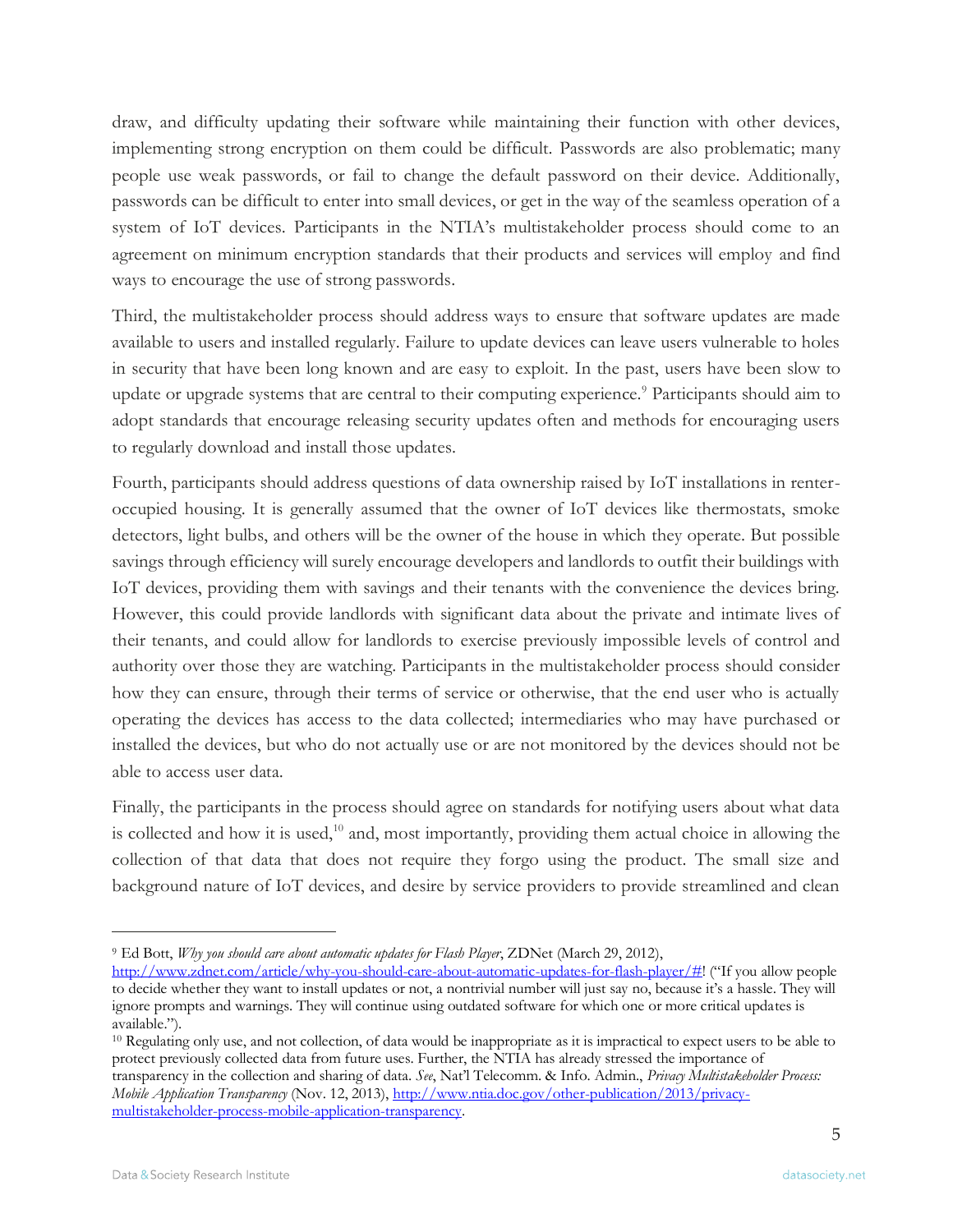draw, and difficulty updating their software while maintaining their function with other devices, implementing strong encryption on them could be difficult. Passwords are also problematic; many people use weak passwords, or fail to change the default password on their device. Additionally, passwords can be difficult to enter into small devices, or get in the way of the seamless operation of a system of IoT devices. Participants in the NTIA's multistakeholder process should come to an agreement on minimum encryption standards that their products and services will employ and find ways to encourage the use of strong passwords.

Third, the multistakeholder process should address ways to ensure that software updates are made available to users and installed regularly. Failure to update devices can leave users vulnerable to holes in security that have been long known and are easy to exploit. In the past, users have been slow to update or upgrade systems that are central to their computing experience.<sup>9</sup> Participants should aim to adopt standards that encourage releasing security updates often and methods for encouraging users to regularly download and install those updates.

Fourth, participants should address questions of data ownership raised by IoT installations in renteroccupied housing. It is generally assumed that the owner of IoT devices like thermostats, smoke detectors, light bulbs, and others will be the owner of the house in which they operate. But possible savings through efficiency will surely encourage developers and landlords to outfit their buildings with IoT devices, providing them with savings and their tenants with the convenience the devices bring. However, this could provide landlords with significant data about the private and intimate lives of their tenants, and could allow for landlords to exercise previously impossible levels of control and authority over those they are watching. Participants in the multistakeholder process should consider how they can ensure, through their terms of service or otherwise, that the end user who is actually operating the devices has access to the data collected; intermediaries who may have purchased or installed the devices, but who do not actually use or are not monitored by the devices should not be able to access user data.

Finally, the participants in the process should agree on standards for notifying users about what data is collected and how it is used,<sup>10</sup> and, most importantly, providing them actual choice in allowing the collection of that data that does not require they forgo using the product. The small size and background nature of IoT devices, and desire by service providers to provide streamlined and clean

<sup>9</sup> Ed Bott, *Why you should care about automatic updates for Flash Player*, ZDNet (March 29, 2012),

[http://www.zdnet.com/article/why-you-should-care-about-automatic-updates-for-flash-player/#!](http://www.zdnet.com/article/why-you-should-care-about-automatic-updates-for-flash-player/) ("If you allow people to decide whether they want to install updates or not, a nontrivial number will just say no, because it's a hassle. They will ignore prompts and warnings. They will continue using outdated software for which one or more critical updates is available.").

<sup>10</sup> Regulating only use, and not collection, of data would be inappropriate as it is impractical to expect users to be able to protect previously collected data from future uses. Further, the NTIA has already stressed the importance of transparency in the collection and sharing of data. *See*, Nat'l Telecomm. & Info. Admin., *Privacy Multistakeholder Process: Mobile Application Transparency* (Nov. 12, 2013), [http://www.ntia.doc.gov/other-publication/2013/privacy](http://www.ntia.doc.gov/other-publication/2013/privacy-multistakeholder-process-mobile-application-transparency)[multistakeholder-process-mobile-application-transparency.](http://www.ntia.doc.gov/other-publication/2013/privacy-multistakeholder-process-mobile-application-transparency)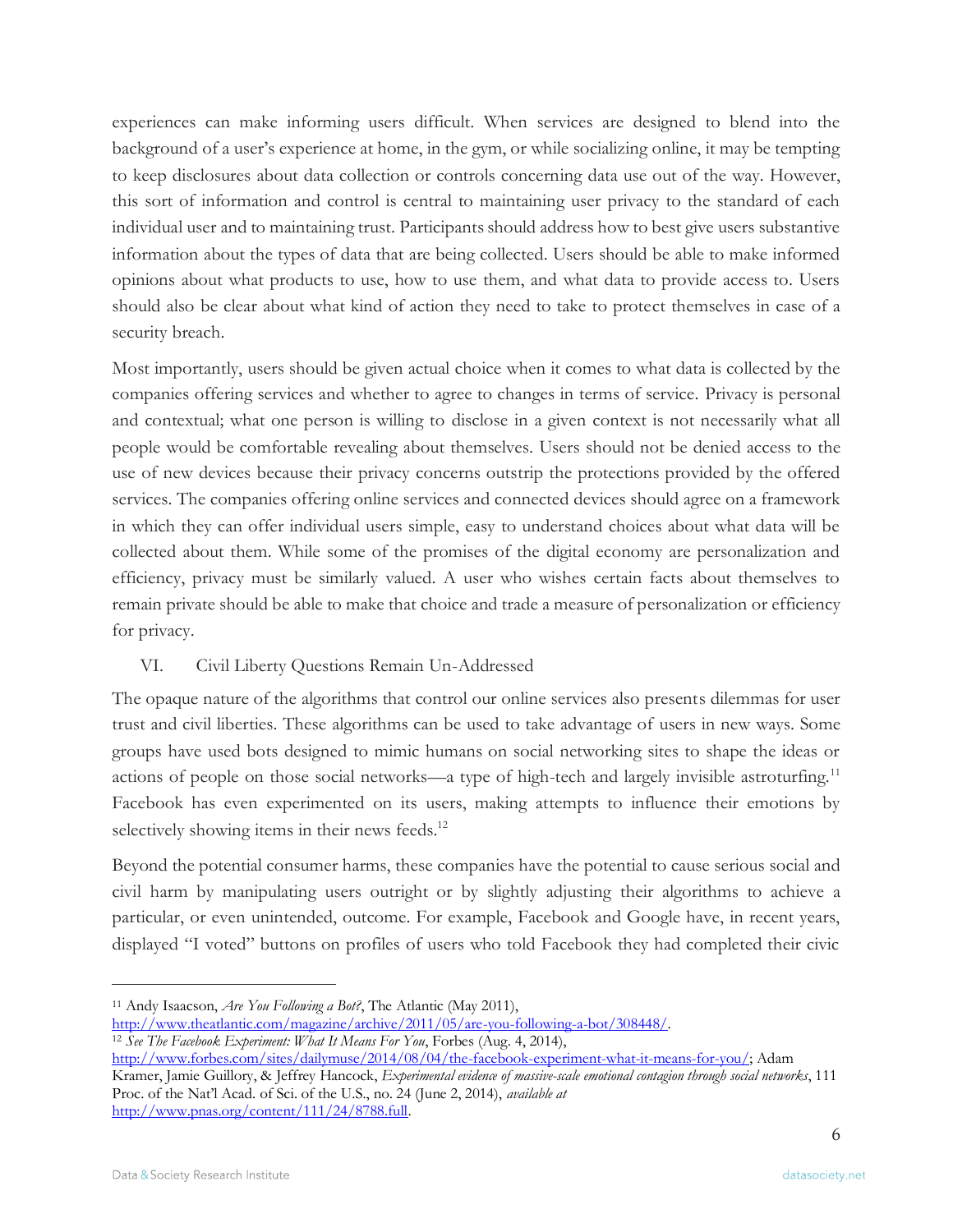experiences can make informing users difficult. When services are designed to blend into the background of a user's experience at home, in the gym, or while socializing online, it may be tempting to keep disclosures about data collection or controls concerning data use out of the way. However, this sort of information and control is central to maintaining user privacy to the standard of each individual user and to maintaining trust. Participants should address how to best give users substantive information about the types of data that are being collected. Users should be able to make informed opinions about what products to use, how to use them, and what data to provide access to. Users should also be clear about what kind of action they need to take to protect themselves in case of a security breach.

Most importantly, users should be given actual choice when it comes to what data is collected by the companies offering services and whether to agree to changes in terms of service. Privacy is personal and contextual; what one person is willing to disclose in a given context is not necessarily what all people would be comfortable revealing about themselves. Users should not be denied access to the use of new devices because their privacy concerns outstrip the protections provided by the offered services. The companies offering online services and connected devices should agree on a framework in which they can offer individual users simple, easy to understand choices about what data will be collected about them. While some of the promises of the digital economy are personalization and efficiency, privacy must be similarly valued. A user who wishes certain facts about themselves to remain private should be able to make that choice and trade a measure of personalization or efficiency for privacy.

# VI. Civil Liberty Questions Remain Un-Addressed

The opaque nature of the algorithms that control our online services also presents dilemmas for user trust and civil liberties. These algorithms can be used to take advantage of users in new ways. Some groups have used bots designed to mimic humans on social networking sites to shape the ideas or actions of people on those social networks—a type of high-tech and largely invisible astroturfing.<sup>11</sup> Facebook has even experimented on its users, making attempts to influence their emotions by selectively showing items in their news feeds.<sup>12</sup>

Beyond the potential consumer harms, these companies have the potential to cause serious social and civil harm by manipulating users outright or by slightly adjusting their algorithms to achieve a particular, or even unintended, outcome. For example, Facebook and Google have, in recent years, displayed "I voted" buttons on profiles of users who told Facebook they had completed their civic

[http://www.forbes.com/sites/dailymuse/2014/08/04/the-facebook-experiment-what-it-means-for-you/;](http://www.forbes.com/sites/dailymuse/2014/08/04/the-facebook-experiment-what-it-means-for-you/) Adam Kramer, Jamie Guillory, & Jeffrey Hancock, *Experimental evidence of massive-scale emotional contagion through social networks*, 111 Proc. of the Nat'l Acad. of Sci. of the U.S., no. 24 (June 2, 2014), *available at* [http://www.pnas.org/content/111/24/8788.full.](http://www.pnas.org/content/111/24/8788.full)

<sup>11</sup> Andy Isaacson, *Are You Following a Bot?*, The Atlantic (May 2011),

[http://www.theatlantic.com/magazine/archive/2011/05/are-you-following-a-bot/308448/.](http://www.theatlantic.com/magazine/archive/2011/05/are-you-following-a-bot/308448/)

<sup>12</sup> *See The Facebook Experiment: What It Means For You*, Forbes (Aug. 4, 2014),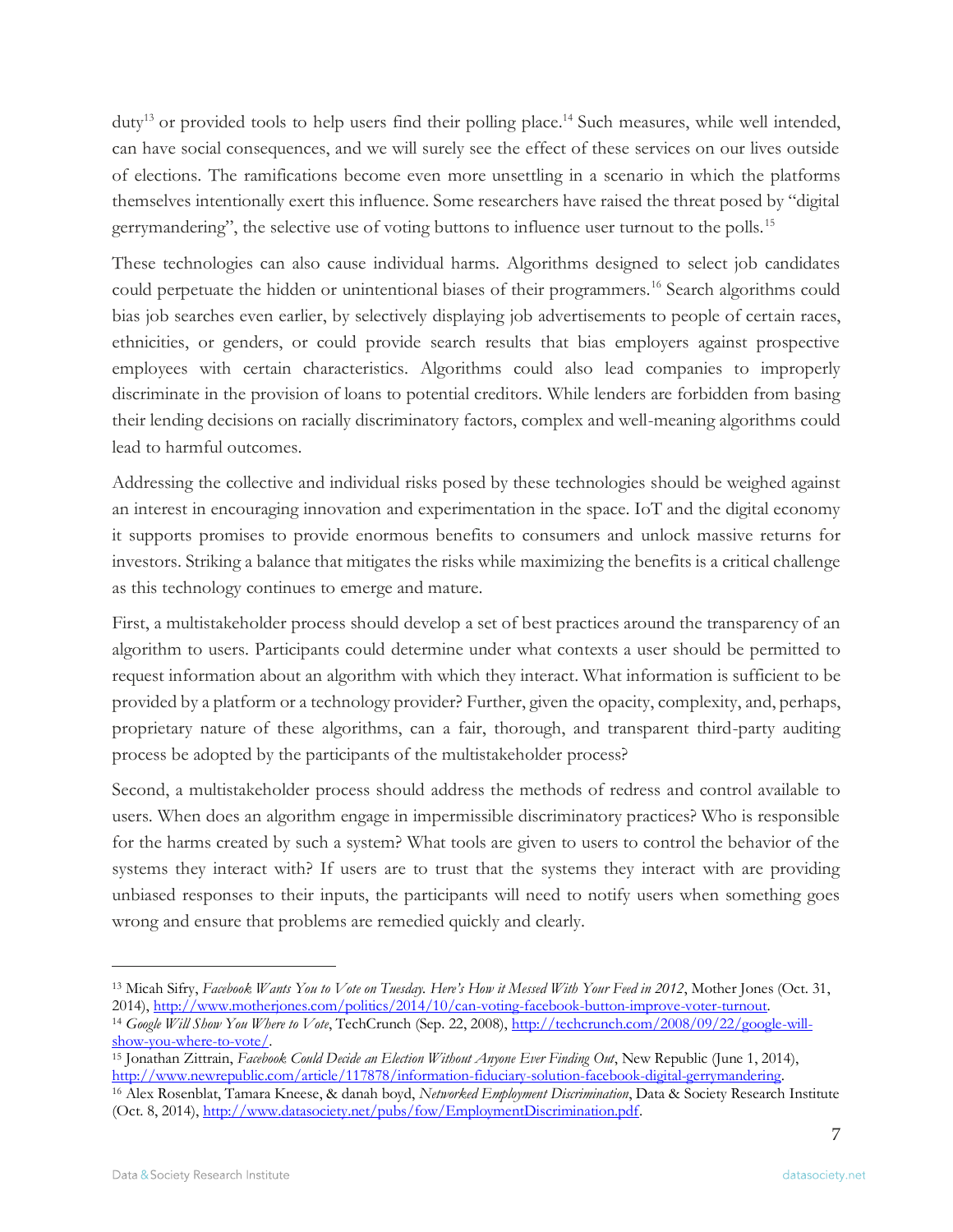duty<sup>13</sup> or provided tools to help users find their polling place.<sup>14</sup> Such measures, while well intended, can have social consequences, and we will surely see the effect of these services on our lives outside of elections. The ramifications become even more unsettling in a scenario in which the platforms themselves intentionally exert this influence. Some researchers have raised the threat posed by "digital gerrymandering", the selective use of voting buttons to influence user turnout to the polls.<sup>15</sup>

These technologies can also cause individual harms. Algorithms designed to select job candidates could perpetuate the hidden or unintentional biases of their programmers.<sup>16</sup> Search algorithms could bias job searches even earlier, by selectively displaying job advertisements to people of certain races, ethnicities, or genders, or could provide search results that bias employers against prospective employees with certain characteristics. Algorithms could also lead companies to improperly discriminate in the provision of loans to potential creditors. While lenders are forbidden from basing their lending decisions on racially discriminatory factors, complex and well-meaning algorithms could lead to harmful outcomes.

Addressing the collective and individual risks posed by these technologies should be weighed against an interest in encouraging innovation and experimentation in the space. IoT and the digital economy it supports promises to provide enormous benefits to consumers and unlock massive returns for investors. Striking a balance that mitigates the risks while maximizing the benefits is a critical challenge as this technology continues to emerge and mature.

First, a multistakeholder process should develop a set of best practices around the transparency of an algorithm to users. Participants could determine under what contexts a user should be permitted to request information about an algorithm with which they interact. What information is sufficient to be provided by a platform or a technology provider? Further, given the opacity, complexity, and, perhaps, proprietary nature of these algorithms, can a fair, thorough, and transparent third-party auditing process be adopted by the participants of the multistakeholder process?

Second, a multistakeholder process should address the methods of redress and control available to users. When does an algorithm engage in impermissible discriminatory practices? Who is responsible for the harms created by such a system? What tools are given to users to control the behavior of the systems they interact with? If users are to trust that the systems they interact with are providing unbiased responses to their inputs, the participants will need to notify users when something goes wrong and ensure that problems are remedied quickly and clearly.

<sup>13</sup> Micah Sifry, *Facebook Wants You to Vote on Tuesday. Here's How it Messed With Your Feed in 2012*, Mother Jones (Oct. 31, 2014)[, http://www.motherjones.com/politics/2014/10/can-voting-facebook-button-improve-voter-turnout.](http://www.motherjones.com/politics/2014/10/can-voting-facebook-button-improve-voter-turnout) <sup>14</sup> *Google Will Show You Where to Vote*, TechCrunch (Sep. 22, 2008)[, http://techcrunch.com/2008/09/22/google-will-](http://techcrunch.com/2008/09/22/google-will-show-you-where-to-vote/)

[show-you-where-to-vote/.](http://techcrunch.com/2008/09/22/google-will-show-you-where-to-vote/) 

<sup>15</sup> Jonathan Zittrain, *Facebook Could Decide an Election Without Anyone Ever Finding Out*, New Republic (June 1, 2014), [http://www.newrepublic.com/article/117878/information-fiduciary-solution-facebook-digital-gerrymandering.](http://www.newrepublic.com/article/117878/information-fiduciary-solution-facebook-digital-gerrymandering) 

<sup>16</sup> Alex Rosenblat, Tamara Kneese, & danah boyd, *Networked Employment Discrimination*, Data & Society Research Institute (Oct. 8, 2014), [http://www.datasociety.net/pubs/fow/EmploymentDiscrimination.pdf.](http://www.datasociety.net/pubs/fow/EmploymentDiscrimination.pdf)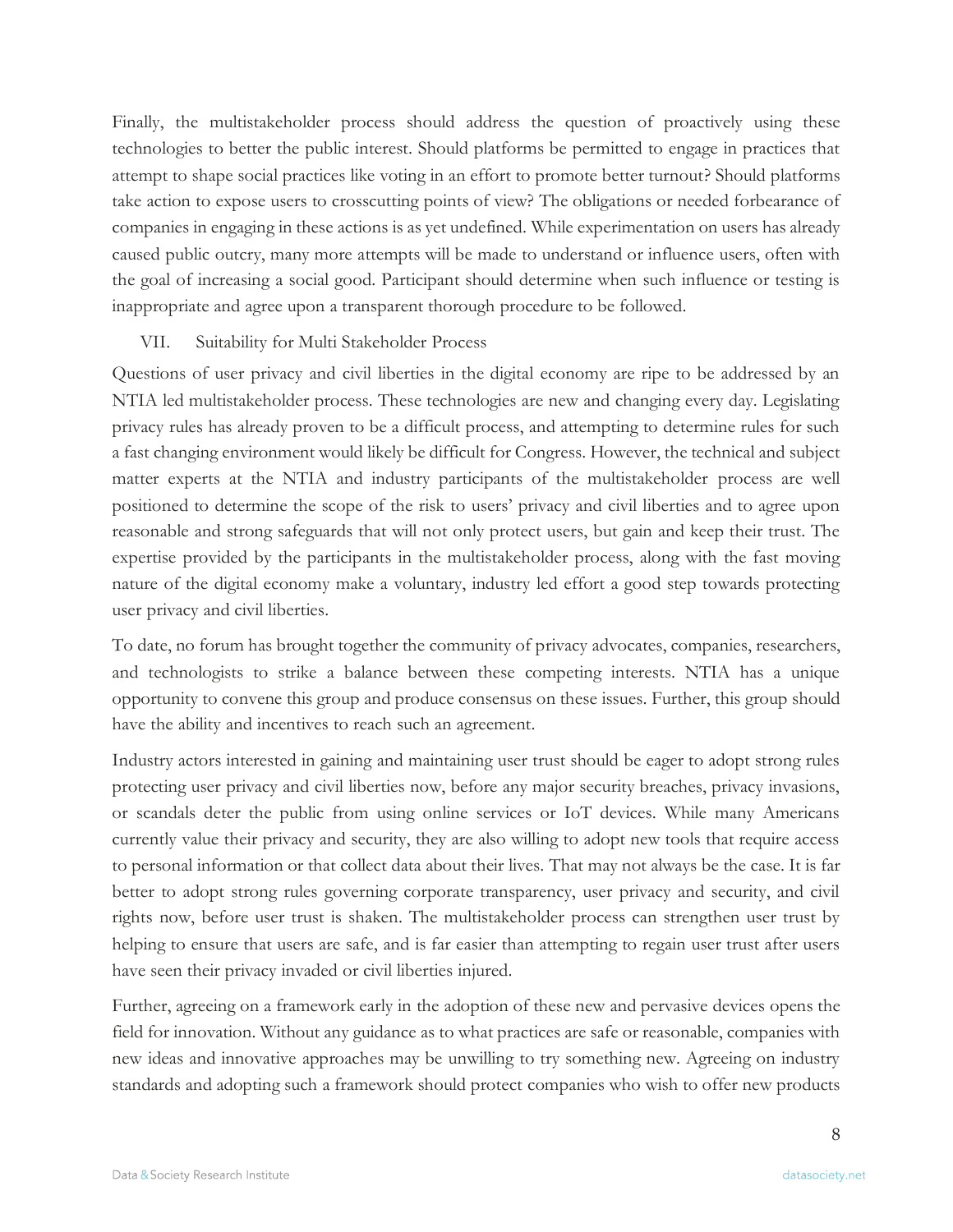Finally, the multistakeholder process should address the question of proactively using these technologies to better the public interest. Should platforms be permitted to engage in practices that attempt to shape social practices like voting in an effort to promote better turnout? Should platforms take action to expose users to crosscutting points of view? The obligations or needed forbearance of companies in engaging in these actions is as yet undefined. While experimentation on users has already caused public outcry, many more attempts will be made to understand or influence users, often with the goal of increasing a social good. Participant should determine when such influence or testing is inappropriate and agree upon a transparent thorough procedure to be followed.

### VII. Suitability for Multi Stakeholder Process

Questions of user privacy and civil liberties in the digital economy are ripe to be addressed by an NTIA led multistakeholder process. These technologies are new and changing every day. Legislating privacy rules has already proven to be a difficult process, and attempting to determine rules for such a fast changing environment would likely be difficult for Congress. However, the technical and subject matter experts at the NTIA and industry participants of the multistakeholder process are well positioned to determine the scope of the risk to users' privacy and civil liberties and to agree upon reasonable and strong safeguards that will not only protect users, but gain and keep their trust. The expertise provided by the participants in the multistakeholder process, along with the fast moving nature of the digital economy make a voluntary, industry led effort a good step towards protecting user privacy and civil liberties.

To date, no forum has brought together the community of privacy advocates, companies, researchers, and technologists to strike a balance between these competing interests. NTIA has a unique opportunity to convene this group and produce consensus on these issues. Further, this group should have the ability and incentives to reach such an agreement.

Industry actors interested in gaining and maintaining user trust should be eager to adopt strong rules protecting user privacy and civil liberties now, before any major security breaches, privacy invasions, or scandals deter the public from using online services or IoT devices. While many Americans currently value their privacy and security, they are also willing to adopt new tools that require access to personal information or that collect data about their lives. That may not always be the case. It is far better to adopt strong rules governing corporate transparency, user privacy and security, and civil rights now, before user trust is shaken. The multistakeholder process can strengthen user trust by helping to ensure that users are safe, and is far easier than attempting to regain user trust after users have seen their privacy invaded or civil liberties injured.

Further, agreeing on a framework early in the adoption of these new and pervasive devices opens the field for innovation. Without any guidance as to what practices are safe or reasonable, companies with new ideas and innovative approaches may be unwilling to try something new. Agreeing on industry standards and adopting such a framework should protect companies who wish to offer new products